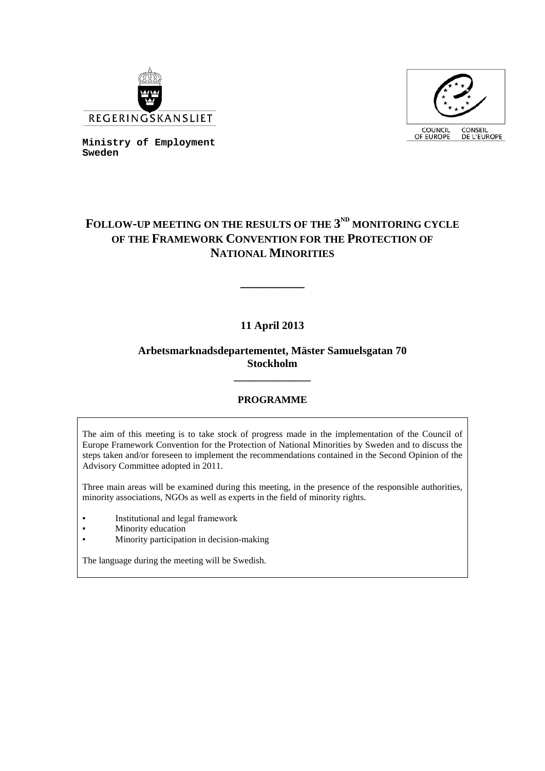



**Ministry of Employment Sweden**

# FOLLOW-UP MEETING ON THE RESULTS OF THE  $3^{ND}$  MONITORING CYCLE **OF THE FRAMEWORK CONVENTION FOR THE PROTECTION OF NATIONAL MINORITIES**

## **11 April 2013**

**\_\_\_\_\_\_\_\_\_\_**

## **Arbetsmarknadsdepartementet, Mäster Samuelsgatan 70 Stockholm**

## **PROGRAMME**

**\_\_\_\_\_\_\_\_\_\_\_\_\_\_**

The aim of this meeting is to take stock of progress made in the implementation of the Council of Europe Framework Convention for the Protection of National Minorities by Sweden and to discuss the steps taken and/or foreseen to implement the recommendations contained in the Second Opinion of the Advisory Committee adopted in 2011.

Three main areas will be examined during this meeting, in the presence of the responsible authorities, minority associations, NGOs as well as experts in the field of minority rights.

- Institutional and legal framework
- Minority education
- Minority participation in decision-making

The language during the meeting will be Swedish.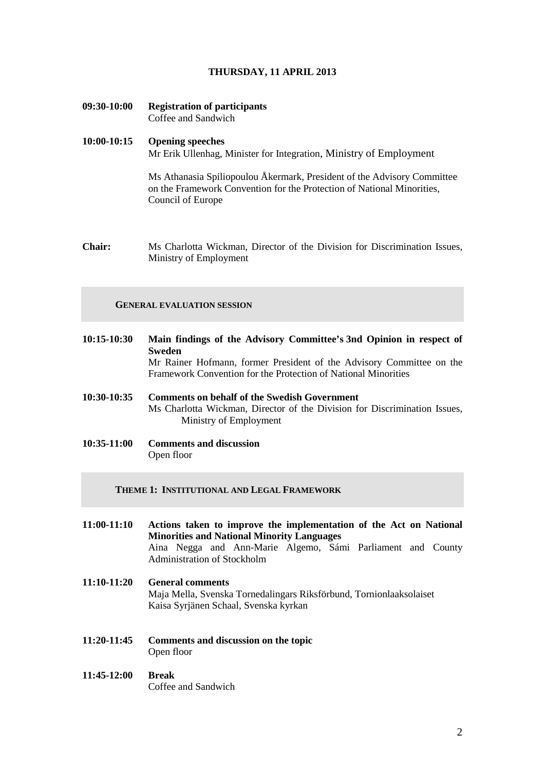### **THURSDAY, 11 APRIL 2013**

**09:30-10:00 Registration of participants** Coffee and Sandwich

## **10:00-10:15 Opening speeches** Mr Erik Ullenhag, Minister for Integration, Ministry of Employment

Ms Athanasia Spiliopoulou Åkermark, President of the Advisory Committee on the Framework Convention for the Protection of National Minorities, Council of Europe

**Chair:** Ms Charlotta Wickman, Director of the Division for Discrimination Issues, Ministry of Employment

### **GENERAL EVALUATION SESSION**

- **10:15-10:30 Main findings of the Advisory Committee's 3nd Opinion in respect of Sweden** Mr Rainer Hofmann, former President of the Advisory Committee on the Framework Convention for the Protection of National Minorities **10:30-10:35 Comments on behalf of the Swedish Government** Ms Charlotta Wickman, Director of the Division for Discrimination Issues, Ministry of Employment
- **10:35-11:00 Comments and discussion** Open floor

**THEME 1: INSTITUTIONAL AND LEGAL FRAMEWORK**

- **11:00-11:10 Actions taken to improve the implementation of the Act on National Minorities and National Minority Languages** Aina Negga and Ann-Marie Algemo, Sámi Parliament and County Administration of Stockholm **11:10-11:20 General comments**  Maja Mella, Svenska Tornedalingars Riksförbund, Tornionlaaksolaiset Kaisa Syrjänen Schaal, Svenska kyrkan
- **11:20-11:45 Comments and discussion on the topic** Open floor

#### **11:45-12:00 Break** Coffee and Sandwich